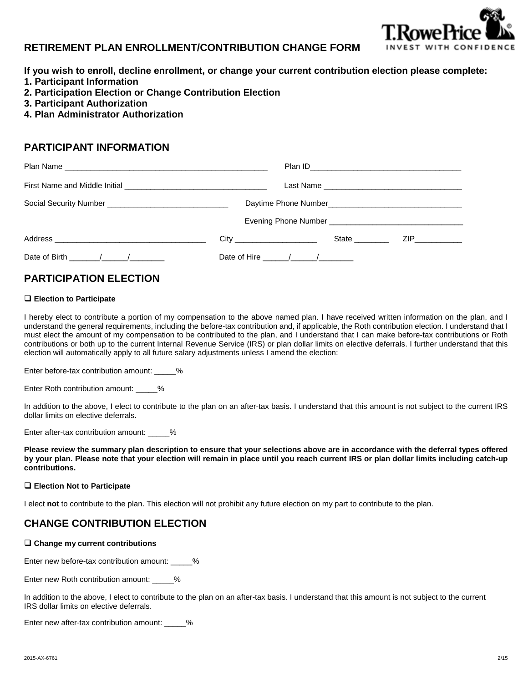

### **RETIREMENT PLAN ENROLLMENT/CONTRIBUTION CHANGE FORM**

- **If you wish to enroll, decline enrollment, or change your current contribution election please complete:**
- **1. Participant Information**
- **2. Participation Election or Change Contribution Election**
- **3. Participant Authorization**
- **4. Plan Administrator Authorization**

### **PARTICIPANT INFORMATION**

|                                                                                                                                                                                                                                |                                   | State |  |
|--------------------------------------------------------------------------------------------------------------------------------------------------------------------------------------------------------------------------------|-----------------------------------|-------|--|
| Date of Birth (and a set of Birth and a set of Birth and a set of Birth and a set of the set of the set of the set of the set of the set of the set of the set of the set of the set of the set of the set of the set of the s | Date of Hire $\frac{\sqrt{2}}{2}$ |       |  |

# **PARTICIPATION ELECTION**

#### **Election to Participate**

I hereby elect to contribute a portion of my compensation to the above named plan. I have received written information on the plan, and I understand the general requirements, including the before-tax contribution and, if applicable, the Roth contribution election. I understand that I must elect the amount of my compensation to be contributed to the plan, and I understand that I can make before-tax contributions or Roth contributions or both up to the current Internal Revenue Service (IRS) or plan dollar limits on elective deferrals. I further understand that this election will automatically apply to all future salary adjustments unless I amend the election:

Enter before-tax contribution amount: \_\_\_\_\_%

Enter Roth contribution amount: \_\_\_\_\_%

In addition to the above, I elect to contribute to the plan on an after-tax basis. I understand that this amount is not subject to the current IRS dollar limits on elective deferrals.

Enter after-tax contribution amount: \_\_\_\_\_%

**Please review the summary plan description to ensure that your selections above are in accordance with the deferral types offered by your plan. Please note that your election will remain in place until you reach current IRS or plan dollar limits including catch-up contributions.**

#### **Election Not to Participate**

I elect **not** to contribute to the plan. This election will not prohibit any future election on my part to contribute to the plan.

## **CHANGE CONTRIBUTION ELECTION**

#### **Change my current contributions**

Enter new before-tax contribution amount: \_\_\_\_\_%

Enter new Roth contribution amount: \_\_\_\_\_%

In addition to the above, I elect to contribute to the plan on an after-tax basis. I understand that this amount is not subject to the current IRS dollar limits on elective deferrals.

Enter new after-tax contribution amount: 48